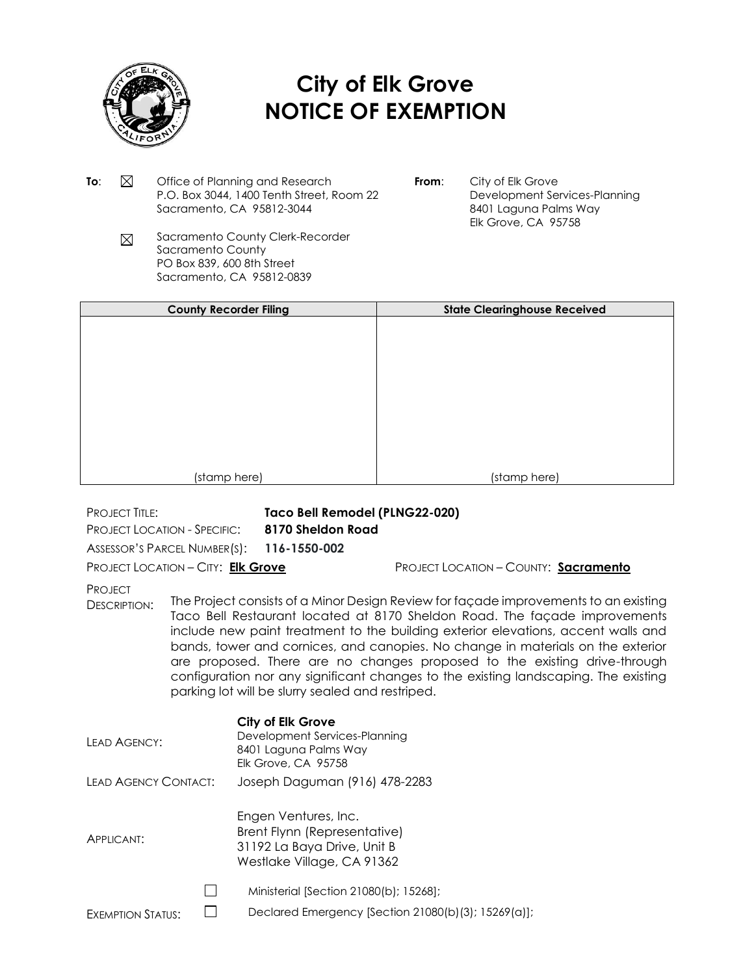

## **City of Elk Grove NOTICE OF EXEMPTION**

- **To:**  $\boxtimes$  Office of Planning and Research P.O. Box 3044, 1400 Tenth Street, Room 22 Sacramento, CA 95812-3044
- **From:** City of Elk Grove Development Services-Planning 8401 Laguna Palms Way Elk Grove, CA 95758
- Sacramento County Clerk-Recorder  $\boxtimes$ Sacramento County PO Box 839, 600 8th Street Sacramento, CA 95812-0839

| <b>County Recorder Filing</b> | <b>State Clearinghouse Received</b> |
|-------------------------------|-------------------------------------|
|                               |                                     |
|                               |                                     |
|                               |                                     |
|                               |                                     |
|                               |                                     |
|                               |                                     |
|                               |                                     |
|                               |                                     |
|                               |                                     |
| (stamp here)                  | (stamp here)                        |
|                               |                                     |

PROJECT TITLE: **Taco Bell Remodel (PLNG22-020)**

PROJECT LOCATION - SPECIFIC: **8170 Sheldon Road**

ASSESSOR'S PARCEL NUMBER(S): **116-1550-002**

PROJECT LOCATION – CITY: **Elk Grove** PROJECT LOCATION – COUNTY: **Sacramento**

**PROJECT** 

DESCRIPTION: The Project consists of a Minor Design Review for façade improvements to an existing Taco Bell Restaurant located at 8170 Sheldon Road. The façade improvements include new paint treatment to the building exterior elevations, accent walls and bands, tower and cornices, and canopies. No change in materials on the exterior are proposed. There are no changes proposed to the existing drive-through configuration nor any significant changes to the existing landscaping. The existing parking lot will be slurry sealed and restriped.

| <b>LEAD AGENCY:</b>          | <b>City of Elk Grove</b><br>Development Services-Planning<br>8401 Laguna Palms Way<br><b>Elk Grove, CA 95758</b>  |
|------------------------------|-------------------------------------------------------------------------------------------------------------------|
| <b>I FAD AGENCY CONTACT:</b> | Joseph Daguman (916) 478-2283                                                                                     |
| APPLICANT:                   | Engen Ventures, Inc.<br>Brent Flynn (Representative)<br>31192 La Baya Drive, Unit B<br>Westlake Village, CA 91362 |
|                              | Ministerial [Section 21080(b); 152681;                                                                            |
| <b>EXEMPTION STATUS:</b>     | Declared Emergency [Section 21080(b)(3); 15269(a)];                                                               |